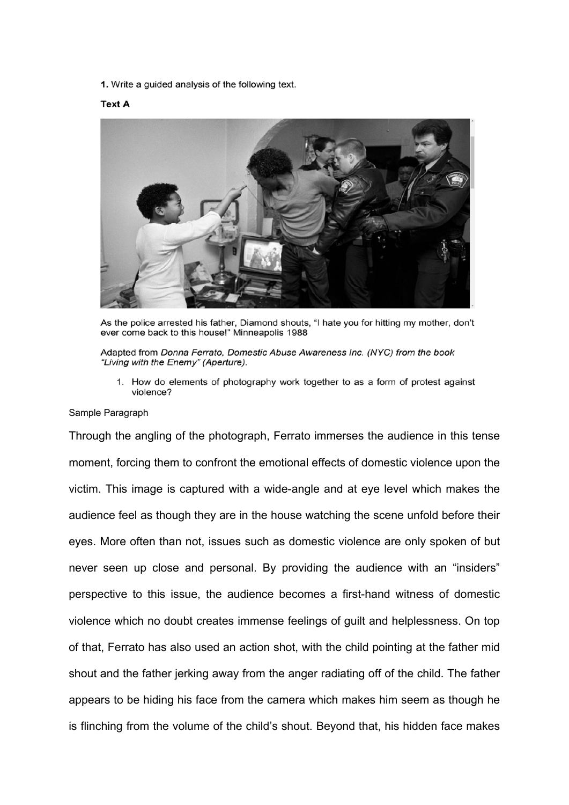1. Write a guided analysis of the following text.

## **Text A**



As the police arrested his father, Diamond shouts, "I hate you for hitting my mother, don't ever come back to this house!" Minneapolis 1988

Adapted from Donna Ferrato, Domestic Abuse Awareness Inc. (NYC) from the book "Living with the Enemy" (Aperture).

1. How do elements of photography work together to as a form of protest against violence?

## Sample Paragraph

Through the angling of the photograph, Ferrato immerses the audience in this tense moment, forcing them to confront the emotional effects of domestic violence upon the victim. This image is captured with a wide-angle and at eye level which makes the audience feel as though they are in the house watching the scene unfold before their eyes. More often than not, issues such as domestic violence are only spoken of but never seen up close and personal. By providing the audience with an "insiders" perspective to this issue, the audience becomes a first-hand witness of domestic violence which no doubt creates immense feelings of guilt and helplessness. On top of that, Ferrato has also used an action shot, with the child pointing at the father mid shout and the father jerking away from the anger radiating off of the child. The father appears to be hiding his face from the camera which makes him seem as though he is flinching from the volume of the child's shout. Beyond that, his hidden face makes